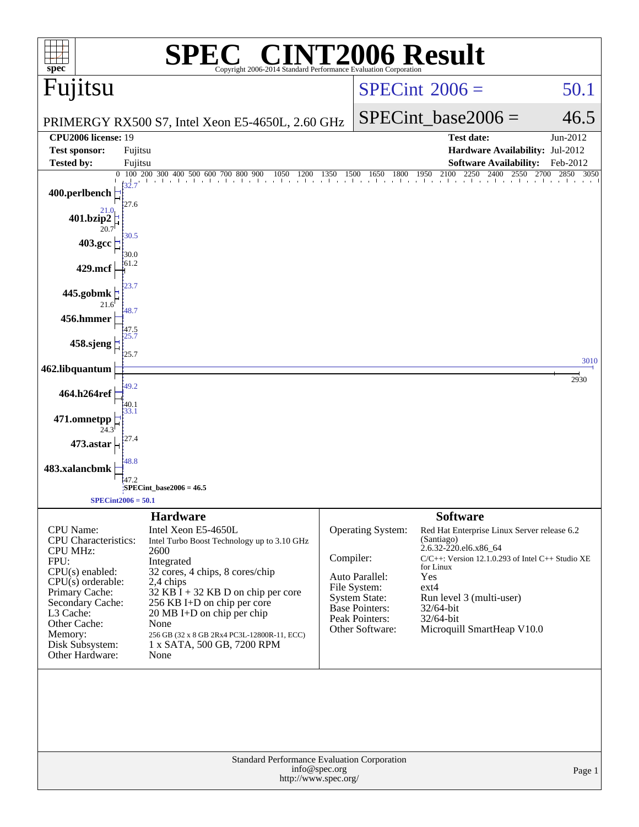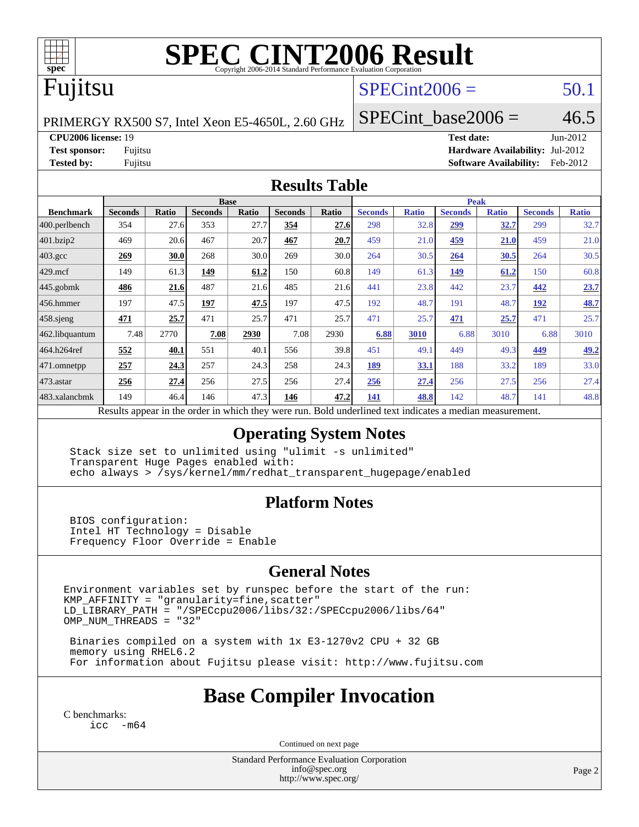

# **[SPEC CINT2006 Result](http://www.spec.org/auto/cpu2006/Docs/result-fields.html#SPECCINT2006Result)**

# Fujitsu

### $SPECint2006 = 50.1$  $SPECint2006 = 50.1$

PRIMERGY RX500 S7, Intel Xeon E5-4650L, 2.60 GHz

**[CPU2006 license:](http://www.spec.org/auto/cpu2006/Docs/result-fields.html#CPU2006license)** 19 **[Test date:](http://www.spec.org/auto/cpu2006/Docs/result-fields.html#Testdate)** Jun-2012 **[Test sponsor:](http://www.spec.org/auto/cpu2006/Docs/result-fields.html#Testsponsor)** Fujitsu **[Hardware Availability:](http://www.spec.org/auto/cpu2006/Docs/result-fields.html#HardwareAvailability)** Jul-2012 **[Tested by:](http://www.spec.org/auto/cpu2006/Docs/result-fields.html#Testedby)** Fujitsu **[Software Availability:](http://www.spec.org/auto/cpu2006/Docs/result-fields.html#SoftwareAvailability)** Feb-2012

SPECint base2006 =  $46.5$ 

#### **[Results Table](http://www.spec.org/auto/cpu2006/Docs/result-fields.html#ResultsTable)**

|                    | <b>Base</b>                                                                                              |       |                |       |                |       | <b>Peak</b>    |              |                |              |                |              |
|--------------------|----------------------------------------------------------------------------------------------------------|-------|----------------|-------|----------------|-------|----------------|--------------|----------------|--------------|----------------|--------------|
| <b>Benchmark</b>   | <b>Seconds</b>                                                                                           | Ratio | <b>Seconds</b> | Ratio | <b>Seconds</b> | Ratio | <b>Seconds</b> | <b>Ratio</b> | <b>Seconds</b> | <b>Ratio</b> | <b>Seconds</b> | <b>Ratio</b> |
| $ 400$ .perlbench  | 354                                                                                                      | 27.6  | 353            | 27.7  | 354            | 27.6  | 298            | 32.8         | 299            | 32.7         | 299            | 32.7         |
| 401.bzip2          | 469                                                                                                      | 20.6  | 467            | 20.7  | 467            | 20.7  | 459            | 21.0         | 459            | 21.0         | 459            | 21.0         |
| $403.\mathrm{gcc}$ | 269                                                                                                      | 30.0  | 268            | 30.0  | 269            | 30.0  | 264            | 30.5         | 264            | 30.5         | 264            | 30.5         |
| $429$ mcf          | 149                                                                                                      | 61.3  | 149            | 61.2  | 150            | 60.8  | 149            | 61.3         | <u>149</u>     | 61.2         | 150            | 60.8         |
| $445$ .gobmk       | 486                                                                                                      | 21.6  | 487            | 21.6  | 485            | 21.6  | 441            | 23.8         | 442            | 23.7         | 442            | 23.7         |
| $456.$ hmmer       | 197                                                                                                      | 47.5  | 197            | 47.5  | 197            | 47.5  | 192            | 48.7         | 191            | 48.7         | <u>192</u>     | <u>48.7</u>  |
| $458$ .sjeng       | 471                                                                                                      | 25.7  | 471            | 25.7  | 471            | 25.7  | 471            | 25.7         | 471            | 25.7         | 471            | 25.7         |
| 462.libquantum     | 7.48                                                                                                     | 2770  | 7.08           | 2930  | 7.08           | 2930  | 6.88           | 3010         | 6.88           | 3010         | 6.88           | 3010         |
| 464.h264ref        | 552                                                                                                      | 40.1  | 551            | 40.1  | 556            | 39.8  | 451            | 49.1         | 449            | 49.3         | 449            | 49.2         |
| $ 471$ .omnetpp    | 257                                                                                                      | 24.3  | 257            | 24.3  | 258            | 24.3  | 189            | 33.1         | 188            | 33.2         | 189            | 33.0         |
| 473.astar          | 256                                                                                                      | 27.4  | 256            | 27.5  | 256            | 27.4  | 256            | 27.4         | 256            | 27.5         | 256            | 27.4         |
| 483.xalancbmk      | 149                                                                                                      | 46.4  | 146            | 47.3  | 146            | 47.2  | 141            | 48.8         | 142            | 48.7         | 141            | 48.8         |
|                    | Results appear in the order in which they were run. Bold underlined text indicates a median measurement. |       |                |       |                |       |                |              |                |              |                |              |

#### **[Operating System Notes](http://www.spec.org/auto/cpu2006/Docs/result-fields.html#OperatingSystemNotes)**

 Stack size set to unlimited using "ulimit -s unlimited" Transparent Huge Pages enabled with: echo always > /sys/kernel/mm/redhat\_transparent\_hugepage/enabled

### **[Platform Notes](http://www.spec.org/auto/cpu2006/Docs/result-fields.html#PlatformNotes)**

 BIOS configuration: Intel HT Technology = Disable Frequency Floor Override = Enable

### **[General Notes](http://www.spec.org/auto/cpu2006/Docs/result-fields.html#GeneralNotes)**

Environment variables set by runspec before the start of the run:  $KMP_A$ FFINITY = "granularity=fine, scatter" LD\_LIBRARY\_PATH = "/SPECcpu2006/libs/32:/SPECcpu2006/libs/64" OMP\_NUM\_THREADS = "32"

 Binaries compiled on a system with 1x E3-1270v2 CPU + 32 GB memory using RHEL6.2 For information about Fujitsu please visit: <http://www.fujitsu.com>

# **[Base Compiler Invocation](http://www.spec.org/auto/cpu2006/Docs/result-fields.html#BaseCompilerInvocation)**

[C benchmarks](http://www.spec.org/auto/cpu2006/Docs/result-fields.html#Cbenchmarks): [icc -m64](http://www.spec.org/cpu2006/results/res2012q3/cpu2006-20120730-23925.flags.html#user_CCbase_intel_icc_64bit_f346026e86af2a669e726fe758c88044)

Continued on next page

Standard Performance Evaluation Corporation [info@spec.org](mailto:info@spec.org) <http://www.spec.org/>

Page 2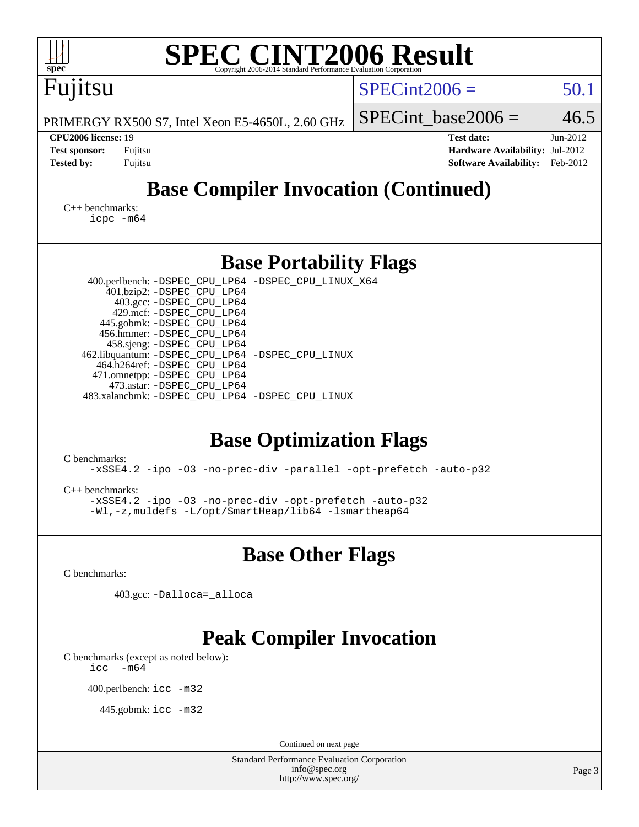| <b>SPEC CINT2006 Result</b><br>spec <sup>®</sup><br>Copyright 2006-2014 Standard Performance Evaluation Corporation                                                                                                                                                                                                                                                                                                                                                                                                                                                                                                                                                                                      |                                                                                                               |  |  |  |  |  |  |
|----------------------------------------------------------------------------------------------------------------------------------------------------------------------------------------------------------------------------------------------------------------------------------------------------------------------------------------------------------------------------------------------------------------------------------------------------------------------------------------------------------------------------------------------------------------------------------------------------------------------------------------------------------------------------------------------------------|---------------------------------------------------------------------------------------------------------------|--|--|--|--|--|--|
| Fujitsu                                                                                                                                                                                                                                                                                                                                                                                                                                                                                                                                                                                                                                                                                                  | $SPECint2006 =$<br>50.1                                                                                       |  |  |  |  |  |  |
| PRIMERGY RX500 S7, Intel Xeon E5-4650L, 2.60 GHz                                                                                                                                                                                                                                                                                                                                                                                                                                                                                                                                                                                                                                                         | 46.5<br>$SPECint\_base2006 =$                                                                                 |  |  |  |  |  |  |
| <b>CPU2006 license: 19</b><br><b>Test sponsor:</b><br>Fujitsu<br>Fujitsu<br><b>Tested by:</b>                                                                                                                                                                                                                                                                                                                                                                                                                                                                                                                                                                                                            | <b>Test date:</b><br>Jun-2012<br>Hardware Availability: Jul-2012<br><b>Software Availability:</b><br>Feb-2012 |  |  |  |  |  |  |
| <b>Base Compiler Invocation (Continued)</b>                                                                                                                                                                                                                                                                                                                                                                                                                                                                                                                                                                                                                                                              |                                                                                                               |  |  |  |  |  |  |
| $C_{++}$ benchmarks:<br>$icpc$ $-m64$                                                                                                                                                                                                                                                                                                                                                                                                                                                                                                                                                                                                                                                                    |                                                                                                               |  |  |  |  |  |  |
| <b>Base Portability Flags</b>                                                                                                                                                                                                                                                                                                                                                                                                                                                                                                                                                                                                                                                                            |                                                                                                               |  |  |  |  |  |  |
| 400.perlbench: -DSPEC_CPU_LP64 -DSPEC_CPU_LINUX_X64<br>401.bzip2: -DSPEC_CPU_LP64<br>403.gcc: -DSPEC_CPU_LP64<br>429.mcf: -DSPEC_CPU_LP64<br>445.gobmk: -DSPEC_CPU_LP64<br>456.hmmer: -DSPEC_CPU_LP64<br>458.sjeng: -DSPEC_CPU_LP64<br>462.libquantum: - DSPEC_CPU_LP64 - DSPEC_CPU_LINUX<br>464.h264ref: -DSPEC_CPU_LP64<br>471.omnetpp: -DSPEC_CPU_LP64<br>473.astar: -DSPEC_CPU_LP64<br>483.xalancbmk: -DSPEC_CPU_LP64 -DSPEC_CPU_LINUX<br><b>Base Optimization Flags</b><br>C benchmarks:<br>-xSSE4.2 -ipo -03 -no-prec-div -parallel -opt-prefetch -auto-p32<br>$C++$ benchmarks:<br>-xSSE4.2 -ipo -03 -no-prec-div -opt-prefetch -auto-p32<br>-Wl,-z, muldefs -L/opt/SmartHeap/lib64 -lsmartheap64 |                                                                                                               |  |  |  |  |  |  |
|                                                                                                                                                                                                                                                                                                                                                                                                                                                                                                                                                                                                                                                                                                          |                                                                                                               |  |  |  |  |  |  |
| <b>Base Other Flags</b><br>C benchmarks:                                                                                                                                                                                                                                                                                                                                                                                                                                                                                                                                                                                                                                                                 |                                                                                                               |  |  |  |  |  |  |
| 403.gcc: -Dalloca=_alloca                                                                                                                                                                                                                                                                                                                                                                                                                                                                                                                                                                                                                                                                                |                                                                                                               |  |  |  |  |  |  |
| <b>Peak Compiler Invocation</b><br>C benchmarks (except as noted below):<br>$-m64$<br>icc                                                                                                                                                                                                                                                                                                                                                                                                                                                                                                                                                                                                                |                                                                                                               |  |  |  |  |  |  |
| 400.perlbench: icc -m32                                                                                                                                                                                                                                                                                                                                                                                                                                                                                                                                                                                                                                                                                  |                                                                                                               |  |  |  |  |  |  |
| 445.gobmk: icc -m32                                                                                                                                                                                                                                                                                                                                                                                                                                                                                                                                                                                                                                                                                      |                                                                                                               |  |  |  |  |  |  |
| Continued on next page                                                                                                                                                                                                                                                                                                                                                                                                                                                                                                                                                                                                                                                                                   |                                                                                                               |  |  |  |  |  |  |
| <b>Standard Performance Evaluation Corporation</b><br>info@spec.org<br>http://www.spec.org/                                                                                                                                                                                                                                                                                                                                                                                                                                                                                                                                                                                                              | Page 3                                                                                                        |  |  |  |  |  |  |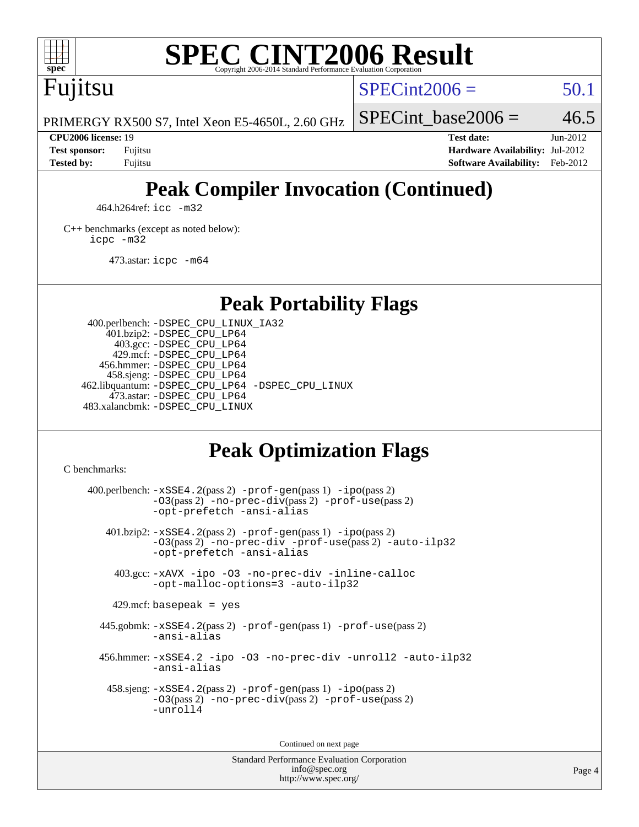

# **[SPEC CINT2006 Result](http://www.spec.org/auto/cpu2006/Docs/result-fields.html#SPECCINT2006Result)**

Fujitsu

 $SPECint2006 = 50.1$  $SPECint2006 = 50.1$ 

PRIMERGY RX500 S7, Intel Xeon E5-4650L, 2.60 GHz

**[Tested by:](http://www.spec.org/auto/cpu2006/Docs/result-fields.html#Testedby)** Fujitsu **[Software Availability:](http://www.spec.org/auto/cpu2006/Docs/result-fields.html#SoftwareAvailability)** Feb-2012

SPECint base2006 =  $46.5$ **[CPU2006 license:](http://www.spec.org/auto/cpu2006/Docs/result-fields.html#CPU2006license)** 19 **[Test date:](http://www.spec.org/auto/cpu2006/Docs/result-fields.html#Testdate)** Jun-2012 **[Test sponsor:](http://www.spec.org/auto/cpu2006/Docs/result-fields.html#Testsponsor)** Fujitsu **[Hardware Availability:](http://www.spec.org/auto/cpu2006/Docs/result-fields.html#HardwareAvailability)** Jul-2012

# **[Peak Compiler Invocation \(Continued\)](http://www.spec.org/auto/cpu2006/Docs/result-fields.html#PeakCompilerInvocation)**

464.h264ref: [icc -m32](http://www.spec.org/cpu2006/results/res2012q3/cpu2006-20120730-23925.flags.html#user_peakCCLD464_h264ref_intel_icc_a6a621f8d50482236b970c6ac5f55f93)

[C++ benchmarks \(except as noted below\):](http://www.spec.org/auto/cpu2006/Docs/result-fields.html#CXXbenchmarksexceptasnotedbelow) [icpc -m32](http://www.spec.org/cpu2006/results/res2012q3/cpu2006-20120730-23925.flags.html#user_CXXpeak_intel_icpc_4e5a5ef1a53fd332b3c49e69c3330699)

473.astar: [icpc -m64](http://www.spec.org/cpu2006/results/res2012q3/cpu2006-20120730-23925.flags.html#user_peakCXXLD473_astar_intel_icpc_64bit_fc66a5337ce925472a5c54ad6a0de310)

**[Peak Portability Flags](http://www.spec.org/auto/cpu2006/Docs/result-fields.html#PeakPortabilityFlags)**

 400.perlbench: [-DSPEC\\_CPU\\_LINUX\\_IA32](http://www.spec.org/cpu2006/results/res2012q3/cpu2006-20120730-23925.flags.html#b400.perlbench_peakCPORTABILITY_DSPEC_CPU_LINUX_IA32) 401.bzip2: [-DSPEC\\_CPU\\_LP64](http://www.spec.org/cpu2006/results/res2012q3/cpu2006-20120730-23925.flags.html#suite_peakPORTABILITY401_bzip2_DSPEC_CPU_LP64) 403.gcc: [-DSPEC\\_CPU\\_LP64](http://www.spec.org/cpu2006/results/res2012q3/cpu2006-20120730-23925.flags.html#suite_peakPORTABILITY403_gcc_DSPEC_CPU_LP64) 429.mcf: [-DSPEC\\_CPU\\_LP64](http://www.spec.org/cpu2006/results/res2012q3/cpu2006-20120730-23925.flags.html#suite_peakPORTABILITY429_mcf_DSPEC_CPU_LP64) 456.hmmer: [-DSPEC\\_CPU\\_LP64](http://www.spec.org/cpu2006/results/res2012q3/cpu2006-20120730-23925.flags.html#suite_peakPORTABILITY456_hmmer_DSPEC_CPU_LP64) 458.sjeng: [-DSPEC\\_CPU\\_LP64](http://www.spec.org/cpu2006/results/res2012q3/cpu2006-20120730-23925.flags.html#suite_peakPORTABILITY458_sjeng_DSPEC_CPU_LP64) 462.libquantum: [-DSPEC\\_CPU\\_LP64](http://www.spec.org/cpu2006/results/res2012q3/cpu2006-20120730-23925.flags.html#suite_peakPORTABILITY462_libquantum_DSPEC_CPU_LP64) [-DSPEC\\_CPU\\_LINUX](http://www.spec.org/cpu2006/results/res2012q3/cpu2006-20120730-23925.flags.html#b462.libquantum_peakCPORTABILITY_DSPEC_CPU_LINUX) 473.astar: [-DSPEC\\_CPU\\_LP64](http://www.spec.org/cpu2006/results/res2012q3/cpu2006-20120730-23925.flags.html#suite_peakPORTABILITY473_astar_DSPEC_CPU_LP64) 483.xalancbmk: [-DSPEC\\_CPU\\_LINUX](http://www.spec.org/cpu2006/results/res2012q3/cpu2006-20120730-23925.flags.html#b483.xalancbmk_peakCXXPORTABILITY_DSPEC_CPU_LINUX)

# **[Peak Optimization Flags](http://www.spec.org/auto/cpu2006/Docs/result-fields.html#PeakOptimizationFlags)**

[C benchmarks](http://www.spec.org/auto/cpu2006/Docs/result-fields.html#Cbenchmarks):

 $400.$ perlbench:  $-xSSE4$ .  $2(pass 2)$  -prof-qen(pass 1) [-ipo](http://www.spec.org/cpu2006/results/res2012q3/cpu2006-20120730-23925.flags.html#user_peakPASS2_CFLAGSPASS2_LDCFLAGS400_perlbench_f-ipo)(pass 2) [-O3](http://www.spec.org/cpu2006/results/res2012q3/cpu2006-20120730-23925.flags.html#user_peakPASS2_CFLAGSPASS2_LDCFLAGS400_perlbench_f-O3)(pass 2) [-no-prec-div](http://www.spec.org/cpu2006/results/res2012q3/cpu2006-20120730-23925.flags.html#user_peakPASS2_CFLAGSPASS2_LDCFLAGS400_perlbench_f-no-prec-div)(pass 2) [-prof-use](http://www.spec.org/cpu2006/results/res2012q3/cpu2006-20120730-23925.flags.html#user_peakPASS2_CFLAGSPASS2_LDCFLAGS400_perlbench_prof_use_bccf7792157ff70d64e32fe3e1250b55)(pass 2) [-opt-prefetch](http://www.spec.org/cpu2006/results/res2012q3/cpu2006-20120730-23925.flags.html#user_peakCOPTIMIZE400_perlbench_f-opt-prefetch) [-ansi-alias](http://www.spec.org/cpu2006/results/res2012q3/cpu2006-20120730-23925.flags.html#user_peakCOPTIMIZE400_perlbench_f-ansi-alias) 401.bzip2: [-xSSE4.2](http://www.spec.org/cpu2006/results/res2012q3/cpu2006-20120730-23925.flags.html#user_peakPASS2_CFLAGSPASS2_LDCFLAGS401_bzip2_f-xSSE42_f91528193cf0b216347adb8b939d4107)(pass 2) [-prof-gen](http://www.spec.org/cpu2006/results/res2012q3/cpu2006-20120730-23925.flags.html#user_peakPASS1_CFLAGSPASS1_LDCFLAGS401_bzip2_prof_gen_e43856698f6ca7b7e442dfd80e94a8fc)(pass 1) [-ipo](http://www.spec.org/cpu2006/results/res2012q3/cpu2006-20120730-23925.flags.html#user_peakPASS2_CFLAGSPASS2_LDCFLAGS401_bzip2_f-ipo)(pass 2) [-O3](http://www.spec.org/cpu2006/results/res2012q3/cpu2006-20120730-23925.flags.html#user_peakPASS2_CFLAGSPASS2_LDCFLAGS401_bzip2_f-O3)(pass 2) [-no-prec-div](http://www.spec.org/cpu2006/results/res2012q3/cpu2006-20120730-23925.flags.html#user_peakCOPTIMIZEPASS2_CFLAGSPASS2_LDCFLAGS401_bzip2_f-no-prec-div) [-prof-use](http://www.spec.org/cpu2006/results/res2012q3/cpu2006-20120730-23925.flags.html#user_peakPASS2_CFLAGSPASS2_LDCFLAGS401_bzip2_prof_use_bccf7792157ff70d64e32fe3e1250b55)(pass 2) [-auto-ilp32](http://www.spec.org/cpu2006/results/res2012q3/cpu2006-20120730-23925.flags.html#user_peakCOPTIMIZE401_bzip2_f-auto-ilp32) [-opt-prefetch](http://www.spec.org/cpu2006/results/res2012q3/cpu2006-20120730-23925.flags.html#user_peakCOPTIMIZE401_bzip2_f-opt-prefetch) [-ansi-alias](http://www.spec.org/cpu2006/results/res2012q3/cpu2006-20120730-23925.flags.html#user_peakCOPTIMIZE401_bzip2_f-ansi-alias) 403.gcc: [-xAVX](http://www.spec.org/cpu2006/results/res2012q3/cpu2006-20120730-23925.flags.html#user_peakCOPTIMIZE403_gcc_f-xAVX) [-ipo](http://www.spec.org/cpu2006/results/res2012q3/cpu2006-20120730-23925.flags.html#user_peakCOPTIMIZE403_gcc_f-ipo) [-O3](http://www.spec.org/cpu2006/results/res2012q3/cpu2006-20120730-23925.flags.html#user_peakCOPTIMIZE403_gcc_f-O3) [-no-prec-div](http://www.spec.org/cpu2006/results/res2012q3/cpu2006-20120730-23925.flags.html#user_peakCOPTIMIZE403_gcc_f-no-prec-div) [-inline-calloc](http://www.spec.org/cpu2006/results/res2012q3/cpu2006-20120730-23925.flags.html#user_peakCOPTIMIZE403_gcc_f-inline-calloc) [-opt-malloc-options=3](http://www.spec.org/cpu2006/results/res2012q3/cpu2006-20120730-23925.flags.html#user_peakCOPTIMIZE403_gcc_f-opt-malloc-options_13ab9b803cf986b4ee62f0a5998c2238) [-auto-ilp32](http://www.spec.org/cpu2006/results/res2012q3/cpu2006-20120730-23925.flags.html#user_peakCOPTIMIZE403_gcc_f-auto-ilp32)  $429$ .mcf: basepeak = yes 445.gobmk: [-xSSE4.2](http://www.spec.org/cpu2006/results/res2012q3/cpu2006-20120730-23925.flags.html#user_peakPASS2_CFLAGSPASS2_LDCFLAGS445_gobmk_f-xSSE42_f91528193cf0b216347adb8b939d4107)(pass 2) [-prof-gen](http://www.spec.org/cpu2006/results/res2012q3/cpu2006-20120730-23925.flags.html#user_peakPASS1_CFLAGSPASS1_LDCFLAGS445_gobmk_prof_gen_e43856698f6ca7b7e442dfd80e94a8fc)(pass 1) [-prof-use](http://www.spec.org/cpu2006/results/res2012q3/cpu2006-20120730-23925.flags.html#user_peakPASS2_CFLAGSPASS2_LDCFLAGS445_gobmk_prof_use_bccf7792157ff70d64e32fe3e1250b55)(pass 2) [-ansi-alias](http://www.spec.org/cpu2006/results/res2012q3/cpu2006-20120730-23925.flags.html#user_peakCOPTIMIZE445_gobmk_f-ansi-alias) 456.hmmer: [-xSSE4.2](http://www.spec.org/cpu2006/results/res2012q3/cpu2006-20120730-23925.flags.html#user_peakCOPTIMIZE456_hmmer_f-xSSE42_f91528193cf0b216347adb8b939d4107) [-ipo](http://www.spec.org/cpu2006/results/res2012q3/cpu2006-20120730-23925.flags.html#user_peakCOPTIMIZE456_hmmer_f-ipo) [-O3](http://www.spec.org/cpu2006/results/res2012q3/cpu2006-20120730-23925.flags.html#user_peakCOPTIMIZE456_hmmer_f-O3) [-no-prec-div](http://www.spec.org/cpu2006/results/res2012q3/cpu2006-20120730-23925.flags.html#user_peakCOPTIMIZE456_hmmer_f-no-prec-div) [-unroll2](http://www.spec.org/cpu2006/results/res2012q3/cpu2006-20120730-23925.flags.html#user_peakCOPTIMIZE456_hmmer_f-unroll_784dae83bebfb236979b41d2422d7ec2) [-auto-ilp32](http://www.spec.org/cpu2006/results/res2012q3/cpu2006-20120730-23925.flags.html#user_peakCOPTIMIZE456_hmmer_f-auto-ilp32) [-ansi-alias](http://www.spec.org/cpu2006/results/res2012q3/cpu2006-20120730-23925.flags.html#user_peakCOPTIMIZE456_hmmer_f-ansi-alias) 458.sjeng: [-xSSE4.2](http://www.spec.org/cpu2006/results/res2012q3/cpu2006-20120730-23925.flags.html#user_peakPASS2_CFLAGSPASS2_LDCFLAGS458_sjeng_f-xSSE42_f91528193cf0b216347adb8b939d4107)(pass 2) [-prof-gen](http://www.spec.org/cpu2006/results/res2012q3/cpu2006-20120730-23925.flags.html#user_peakPASS1_CFLAGSPASS1_LDCFLAGS458_sjeng_prof_gen_e43856698f6ca7b7e442dfd80e94a8fc)(pass 1) [-ipo](http://www.spec.org/cpu2006/results/res2012q3/cpu2006-20120730-23925.flags.html#user_peakPASS2_CFLAGSPASS2_LDCFLAGS458_sjeng_f-ipo)(pass 2) [-O3](http://www.spec.org/cpu2006/results/res2012q3/cpu2006-20120730-23925.flags.html#user_peakPASS2_CFLAGSPASS2_LDCFLAGS458_sjeng_f-O3)(pass 2) [-no-prec-div](http://www.spec.org/cpu2006/results/res2012q3/cpu2006-20120730-23925.flags.html#user_peakPASS2_CFLAGSPASS2_LDCFLAGS458_sjeng_f-no-prec-div)(pass 2) [-prof-use](http://www.spec.org/cpu2006/results/res2012q3/cpu2006-20120730-23925.flags.html#user_peakPASS2_CFLAGSPASS2_LDCFLAGS458_sjeng_prof_use_bccf7792157ff70d64e32fe3e1250b55)(pass 2) [-unroll4](http://www.spec.org/cpu2006/results/res2012q3/cpu2006-20120730-23925.flags.html#user_peakCOPTIMIZE458_sjeng_f-unroll_4e5e4ed65b7fd20bdcd365bec371b81f)

Continued on next page

Standard Performance Evaluation Corporation [info@spec.org](mailto:info@spec.org) <http://www.spec.org/>